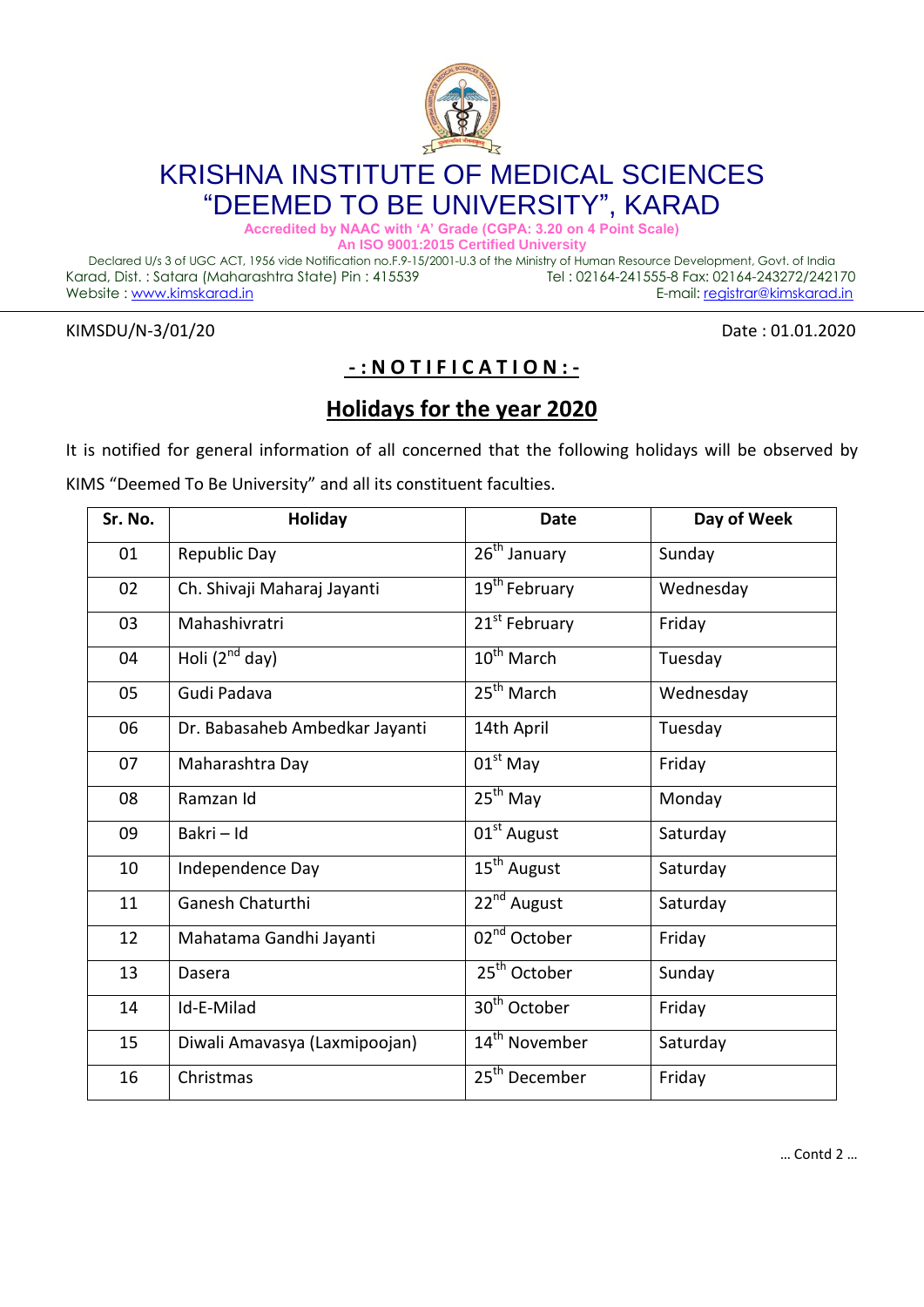

## KRISHNA INSTITUTE OF MEDICAL SCIENCES "DEEMED TO BE UNIVERSITY", KARAD

**Accredited by NAAC with 'A' Grade (CGPA: 3.20 on 4 Point Scale)**

**An ISO 9001:2015 Certified University**

Declared U/s 3 of UGC ACT, 1956 vide Notification no.F.9-15/2001-U.3 of the Ministry of Human Resource Development, Govt. of India Karad, Dist. : Satara (Maharashtra State) Pin : 415539 Tel : 02164-241555-8 Fax: 02164-243272/242170 Website : www.kimskarad.in etc. and a state of the state of the state of the E-mail: registrar@kimskarad.in

KIMSDU/N-3/01/20 Date: 01.01.2020

## **- : N O T I F I C A T I O N : -**

## **Holidays for the year 2020**

It is notified for general information of all concerned that the following holidays will be observed by

KIMS "Deemed To Be University" and all its constituent faculties.

| Sr. No. | <b>Holiday</b>                 | <b>Date</b>                         | Day of Week |
|---------|--------------------------------|-------------------------------------|-------------|
| 01      | Republic Day                   | 26 <sup>th</sup> January            | Sunday      |
| 02      | Ch. Shivaji Maharaj Jayanti    | 19 <sup>th</sup> February           | Wednesday   |
| 03      | Mahashivratri                  | 21 <sup>st</sup> February           | Friday      |
| 04      | Holi $(2^{nd}$ day)            | 10 <sup>th</sup> March              | Tuesday     |
| 05      | Gudi Padava                    | $25th$ March                        | Wednesday   |
| 06      | Dr. Babasaheb Ambedkar Jayanti | 14th April                          | Tuesday     |
| 07      | Maharashtra Day                | $01st$ May                          | Friday      |
| 08      | Ramzan Id                      | $25^{th}$ May                       | Monday      |
| 09      | Bakri - Id                     | 01 <sup>st</sup> August             | Saturday    |
| 10      | Independence Day               | 15 <sup>th</sup> August             | Saturday    |
| 11      | <b>Ganesh Chaturthi</b>        | $22^{nd}$ August                    | Saturday    |
| 12      | Mahatama Gandhi Jayanti        | $\overline{02}^{\text{nd}}$ October | Friday      |
| 13      | Dasera                         | 25 <sup>th</sup> October            | Sunday      |
| 14      | Id-E-Milad                     | 30 <sup>th</sup> October            | Friday      |
| 15      | Diwali Amavasya (Laxmipoojan)  | 14 <sup>th</sup> November           | Saturday    |
| 16      | Christmas                      | 25 <sup>th</sup> December           | Friday      |

… Contd 2 …